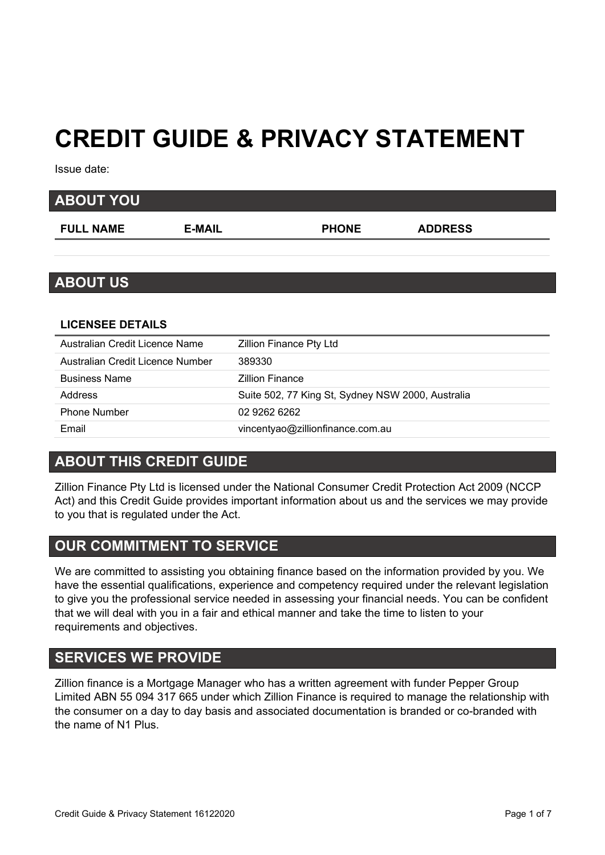# **CREDIT GUIDE & PRIVACY STATEMENT**

Issue date:

| <b>ABOUT YOU</b>                 |               |                         |                |  |
|----------------------------------|---------------|-------------------------|----------------|--|
| <b>FULL NAME</b>                 | <b>E-MAIL</b> | <b>PHONE</b>            | <b>ADDRESS</b> |  |
|                                  |               |                         |                |  |
| <b>ABOUT US</b>                  |               |                         |                |  |
|                                  |               |                         |                |  |
| <b>LICENSEE DETAILS</b>          |               |                         |                |  |
| Australian Credit Licence Name   |               | Zillion Finance Pty Ltd |                |  |
| Australian Credit Licence Number | 389330        |                         |                |  |
| .                                |               |                         |                |  |

| LIVLIJJLL DLIAILJ                |                                                   |
|----------------------------------|---------------------------------------------------|
| Australian Credit Licence Name   | <b>Zillion Finance Pty Ltd</b>                    |
| Australian Credit Licence Number | 389330                                            |
| <b>Business Name</b>             | <b>Zillion Finance</b>                            |
| Address                          | Suite 502, 77 King St, Sydney NSW 2000, Australia |
| <b>Phone Number</b>              | 02 9262 6262                                      |
| Email                            | vincentyao@zillionfinance.com.au                  |

#### **ABOUT THIS CREDIT GUIDE**

Zillion Finance Pty Ltd is licensed under the National Consumer Credit Protection Act 2009 (NCCP Act) and this Credit Guide provides important information about us and the services we may provide to you that is regulated under the Act.

# **OUR COMMITMENT TO SERVICE**

We are committed to assisting you obtaining finance based on the information provided by you. We have the essential qualifications, experience and competency required under the relevant legislation to give you the professional service needed in assessing your financial needs. You can be confident that we will deal with you in a fair and ethical manner and take the time to listen to your requirements and objectives.

# **SERVICES WE PROVIDE**

Zillion finance is a Mortgage Manager who has a written agreement with funder Pepper Group Limited ABN 55 094 317 665 under which Zillion Finance is required to manage the relationship with the consumer on a day to day basis and associated documentation is branded or co-branded with the name of N1 Plus.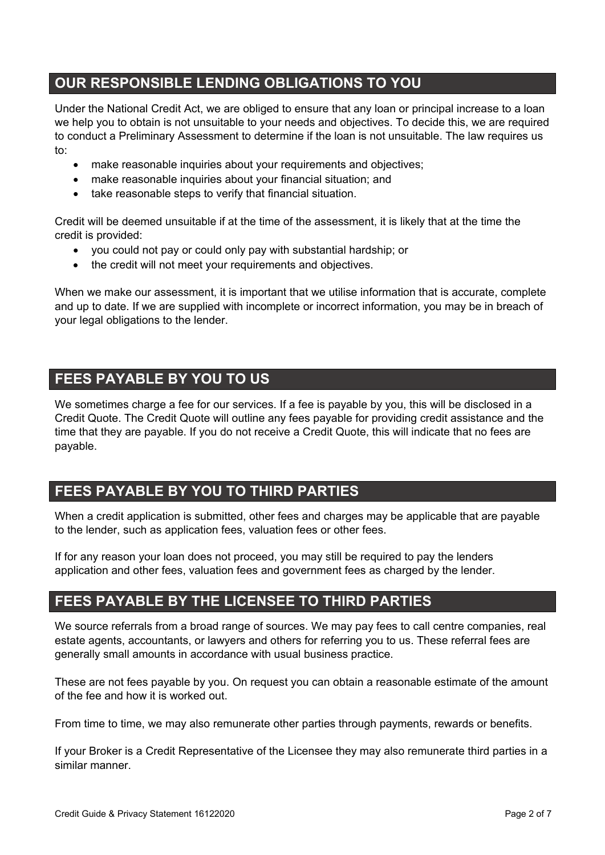# **OUR RESPONSIBLE LENDING OBLIGATIONS TO YOU**

Under the National Credit Act, we are obliged to ensure that any loan or principal increase to a loan we help you to obtain is not unsuitable to your needs and objectives. To decide this, we are required to conduct a Preliminary Assessment to determine if the loan is not unsuitable. The law requires us to:

- make reasonable inquiries about your requirements and objectives:
- make reasonable inquiries about your financial situation; and
- take reasonable steps to verify that financial situation.

Credit will be deemed unsuitable if at the time of the assessment, it is likely that at the time the credit is provided:

- you could not pay or could only pay with substantial hardship; or
- the credit will not meet your requirements and objectives.

When we make our assessment, it is important that we utilise information that is accurate, complete and up to date. If we are supplied with incomplete or incorrect information, you may be in breach of your legal obligations to the lender.

# **FEES PAYABLE BY YOU TO US**

We sometimes charge a fee for our services. If a fee is payable by you, this will be disclosed in a Credit Quote. The Credit Quote will outline any fees payable for providing credit assistance and the time that they are payable. If you do not receive a Credit Quote, this will indicate that no fees are payable.

# **FEES PAYABLE BY YOU TO THIRD PARTIES**

When a credit application is submitted, other fees and charges may be applicable that are payable to the lender, such as application fees, valuation fees or other fees.

If for any reason your loan does not proceed, you may still be required to pay the lenders application and other fees, valuation fees and government fees as charged by the lender.

# **FEES PAYABLE BY THE LICENSEE TO THIRD PARTIES**

We source referrals from a broad range of sources. We may pay fees to call centre companies, real estate agents, accountants, or lawyers and others for referring you to us. These referral fees are generally small amounts in accordance with usual business practice.

These are not fees payable by you. On request you can obtain a reasonable estimate of the amount of the fee and how it is worked out.

From time to time, we may also remunerate other parties through payments, rewards or benefits.

If your Broker is a Credit Representative of the Licensee they may also remunerate third parties in a similar manner.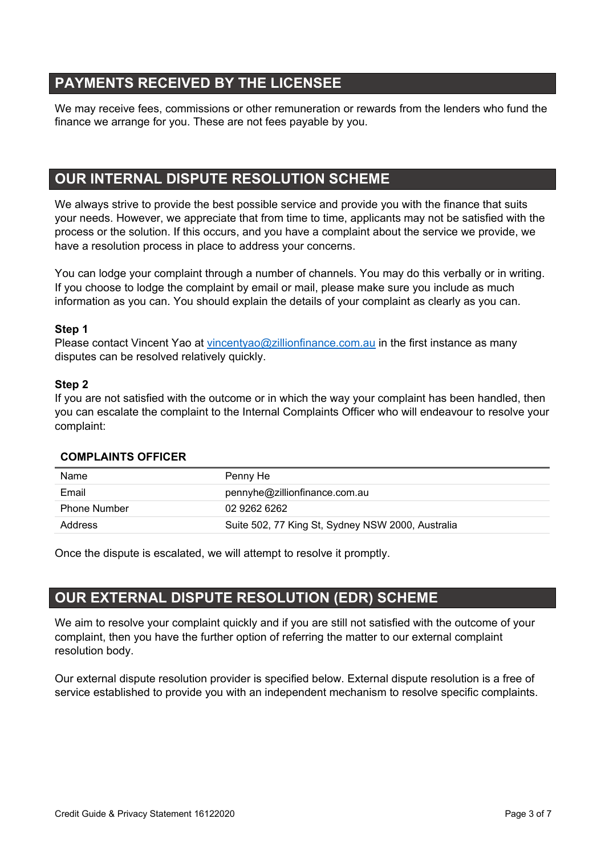# **PAYMENTS RECEIVED BY THE LICENSEE**

We may receive fees, commissions or other remuneration or rewards from the lenders who fund the finance we arrange for you. These are not fees payable by you.

# **OUR INTERNAL DISPUTE RESOLUTION SCHEME**

We always strive to provide the best possible service and provide you with the finance that suits your needs. However, we appreciate that from time to time, applicants may not be satisfied with the process or the solution. If this occurs, and you have a complaint about the service we provide, we have a resolution process in place to address your concerns.

You can lodge your complaint through a number of channels. You may do this verbally or in writing. If you choose to lodge the complaint by email or mail, please make sure you include as much information as you can. You should explain the details of your complaint as clearly as you can.

#### **Step 1**

Please contact Vincent Yao at [vincentyao@zillionfinance.com.au](mailto:vincentyao@zillionfinance.com.au) in the first instance as many disputes can be resolved relatively quickly.

#### **Step 2**

If you are not satisfied with the outcome or in which the way your complaint has been handled, then you can escalate the complaint to the Internal Complaints Officer who will endeavour to resolve your complaint:

| Name                | Penny He                                          |
|---------------------|---------------------------------------------------|
| Email               | pennyhe@zillionfinance.com.au                     |
| <b>Phone Number</b> | 02 9262 6262                                      |
| Address             | Suite 502, 77 King St, Sydney NSW 2000, Australia |

#### **COMPLAINTS OFFICER**

Once the dispute is escalated, we will attempt to resolve it promptly.

# **OUR EXTERNAL DISPUTE RESOLUTION (EDR) SCHEME**

We aim to resolve your complaint quickly and if you are still not satisfied with the outcome of your complaint, then you have the further option of referring the matter to our external complaint resolution body.

Our external dispute resolution provider is specified below. External dispute resolution is a free of service established to provide you with an independent mechanism to resolve specific complaints.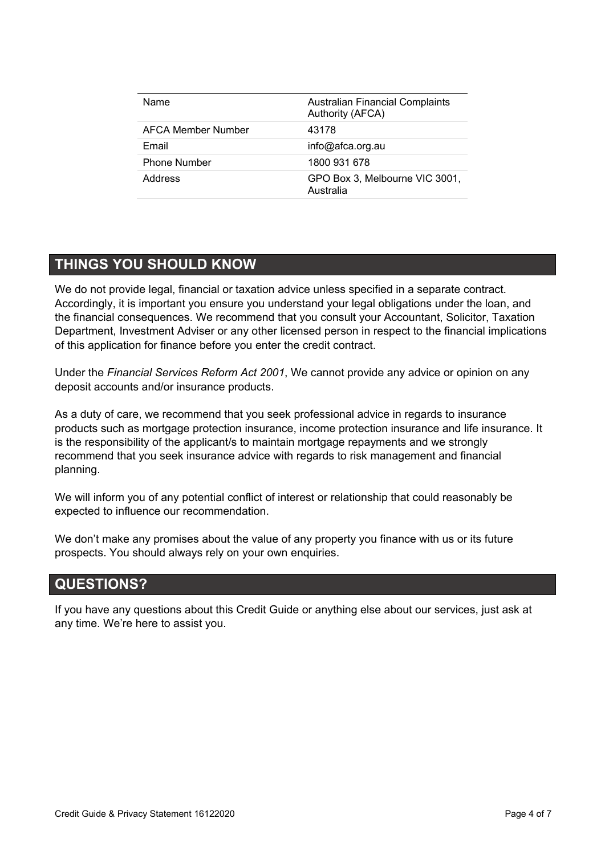| <b>Name</b>         | <b>Australian Financial Complaints</b><br>Authority (AFCA) |
|---------------------|------------------------------------------------------------|
| AFCA Member Number  | 43178                                                      |
| Email               | info@afca.org.au                                           |
| <b>Phone Number</b> | 1800 931 678                                               |
| Address             | GPO Box 3, Melbourne VIC 3001,<br>Australia                |

# **THINGS YOU SHOULD KNOW**

í.

We do not provide legal, financial or taxation advice unless specified in a separate contract. Accordingly, it is important you ensure you understand your legal obligations under the loan, and the financial consequences. We recommend that you consult your Accountant, Solicitor, Taxation Department, Investment Adviser or any other licensed person in respect to the financial implications of this application for finance before you enter the credit contract.

Under the *Financial Services Reform Act 2001*, We cannot provide any advice or opinion on any deposit accounts and/or insurance products.

As a duty of care, we recommend that you seek professional advice in regards to insurance products such as mortgage protection insurance, income protection insurance and life insurance. It is the responsibility of the applicant/s to maintain mortgage repayments and we strongly recommend that you seek insurance advice with regards to risk management and financial planning.

We will inform you of any potential conflict of interest or relationship that could reasonably be expected to influence our recommendation.

We don't make any promises about the value of any property you finance with us or its future prospects. You should always rely on your own enquiries.

# **QUESTIONS?**

If you have any questions about this Credit Guide or anything else about our services, just ask at any time. We're here to assist you.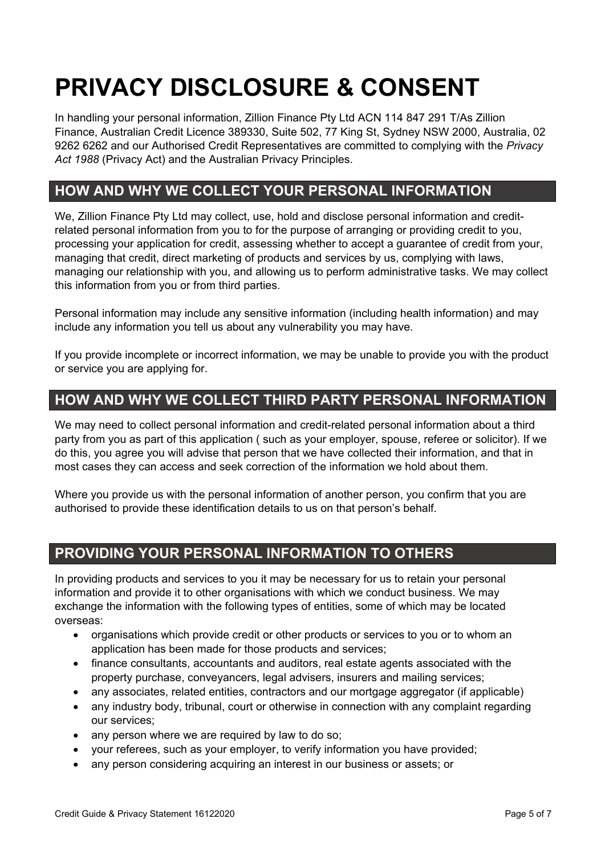# **PRIVACY DISCLOSURE & CONSENT**

In handling your personal information, Zillion Finance Pty Ltd ACN 114 847 291 T/As Zillion Finance, Australian Credit Licence 389330, Suite 502, 77 King St, Sydney NSW 2000, Australia, 02 9262 6262 and our Authorised Credit Representatives are committed to complying with the *Privacy Act 1988* (Privacy Act) and the Australian Privacy Principles.

# **HOW AND WHY WE COLLECT YOUR PERSONAL INFORMATION**

We, Zillion Finance Pty Ltd may collect, use, hold and disclose personal information and creditrelated personal information from you to for the purpose of arranging or providing credit to you, processing your application for credit, assessing whether to accept a guarantee of credit from your, managing that credit, direct marketing of products and services by us, complying with laws, managing our relationship with you, and allowing us to perform administrative tasks. We may collect this information from you or from third parties.

Personal information may include any sensitive information (including health information) and may include any information you tell us about any vulnerability you may have.

If you provide incomplete or incorrect information, we may be unable to provide you with the product or service you are applying for.

# **HOW AND WHY WE COLLECT THIRD PARTY PERSONAL INFORMATION**

We may need to collect personal information and credit-related personal information about a third party from you as part of this application ( such as your employer, spouse, referee or solicitor). If we do this, you agree you will advise that person that we have collected their information, and that in most cases they can access and seek correction of the information we hold about them.

Where you provide us with the personal information of another person, you confirm that you are authorised to provide these identification details to us on that person's behalf.

# **PROVIDING YOUR PERSONAL INFORMATION TO OTHERS**

In providing products and services to you it may be necessary for us to retain your personal information and provide it to other organisations with which we conduct business. We may exchange the information with the following types of entities, some of which may be located overseas:

- organisations which provide credit or other products or services to you or to whom an application has been made for those products and services;
- finance consultants, accountants and auditors, real estate agents associated with the property purchase, conveyancers, legal advisers, insurers and mailing services;
- any associates, related entities, contractors and our mortgage aggregator (if applicable)
- any industry body, tribunal, court or otherwise in connection with any complaint regarding our services;
- any person where we are required by law to do so:
- your referees, such as your employer, to verify information you have provided;
- any person considering acquiring an interest in our business or assets; or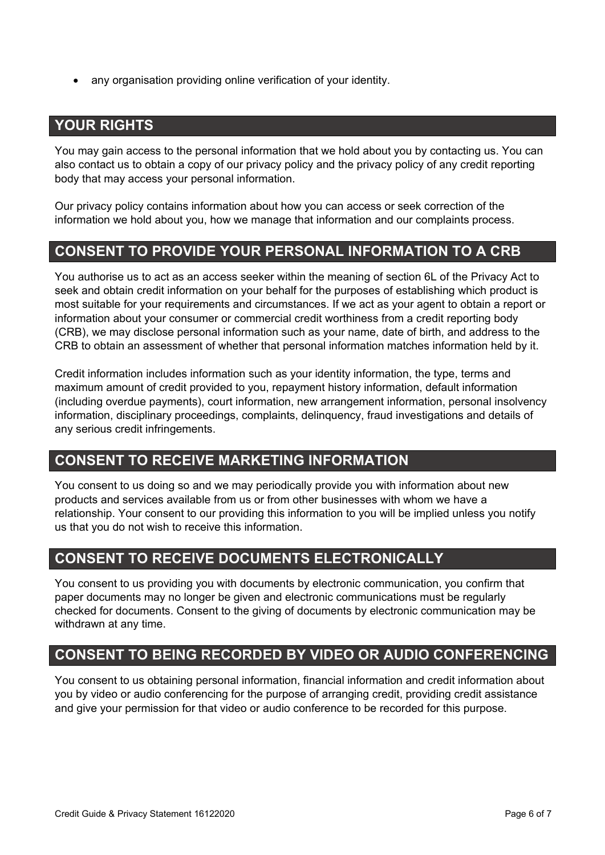• any organisation providing online verification of your identity.

# **YOUR RIGHTS**

You may gain access to the personal information that we hold about you by contacting us. You can also contact us to obtain a copy of our privacy policy and the privacy policy of any credit reporting body that may access your personal information.

Our privacy policy contains information about how you can access or seek correction of the information we hold about you, how we manage that information and our complaints process.

# **CONSENT TO PROVIDE YOUR PERSONAL INFORMATION TO A CRB**

You authorise us to act as an access seeker within the meaning of section 6L of the Privacy Act to seek and obtain credit information on your behalf for the purposes of establishing which product is most suitable for your requirements and circumstances. If we act as your agent to obtain a report or information about your consumer or commercial credit worthiness from a credit reporting body (CRB), we may disclose personal information such as your name, date of birth, and address to the CRB to obtain an assessment of whether that personal information matches information held by it.

Credit information includes information such as your identity information, the type, terms and maximum amount of credit provided to you, repayment history information, default information (including overdue payments), court information, new arrangement information, personal insolvency information, disciplinary proceedings, complaints, delinquency, fraud investigations and details of any serious credit infringements.

# **CONSENT TO RECEIVE MARKETING INFORMATION**

You consent to us doing so and we may periodically provide you with information about new products and services available from us or from other businesses with whom we have a relationship. Your consent to our providing this information to you will be implied unless you notify us that you do not wish to receive this information.

# **CONSENT TO RECEIVE DOCUMENTS ELECTRONICALLY**

You consent to us providing you with documents by electronic communication, you confirm that paper documents may no longer be given and electronic communications must be regularly checked for documents. Consent to the giving of documents by electronic communication may be withdrawn at any time.

# **CONSENT TO BEING RECORDED BY VIDEO OR AUDIO CONFERENCING**

You consent to us obtaining personal information, financial information and credit information about you by video or audio conferencing for the purpose of arranging credit, providing credit assistance and give your permission for that video or audio conference to be recorded for this purpose.